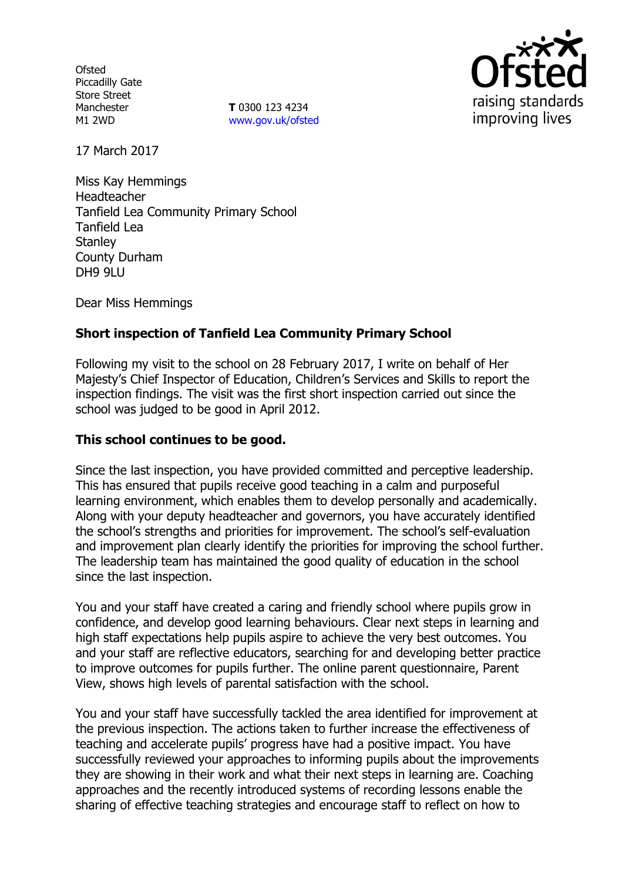**Ofsted** Piccadilly Gate Store Street Manchester M1 2WD

**T** 0300 123 4234 www.gov.uk/ofsted



17 March 2017

Miss Kay Hemmings Headteacher Tanfield Lea Community Primary School Tanfield Lea **Stanley** County Durham DH9 9LU

Dear Miss Hemmings

# **Short inspection of Tanfield Lea Community Primary School**

Following my visit to the school on 28 February 2017, I write on behalf of Her Majesty's Chief Inspector of Education, Children's Services and Skills to report the inspection findings. The visit was the first short inspection carried out since the school was judged to be good in April 2012.

### **This school continues to be good.**

Since the last inspection, you have provided committed and perceptive leadership. This has ensured that pupils receive good teaching in a calm and purposeful learning environment, which enables them to develop personally and academically. Along with your deputy headteacher and governors, you have accurately identified the school's strengths and priorities for improvement. The school's self-evaluation and improvement plan clearly identify the priorities for improving the school further. The leadership team has maintained the good quality of education in the school since the last inspection.

You and your staff have created a caring and friendly school where pupils grow in confidence, and develop good learning behaviours. Clear next steps in learning and high staff expectations help pupils aspire to achieve the very best outcomes. You and your staff are reflective educators, searching for and developing better practice to improve outcomes for pupils further. The online parent questionnaire, Parent View, shows high levels of parental satisfaction with the school.

You and your staff have successfully tackled the area identified for improvement at the previous inspection. The actions taken to further increase the effectiveness of teaching and accelerate pupils' progress have had a positive impact. You have successfully reviewed your approaches to informing pupils about the improvements they are showing in their work and what their next steps in learning are. Coaching approaches and the recently introduced systems of recording lessons enable the sharing of effective teaching strategies and encourage staff to reflect on how to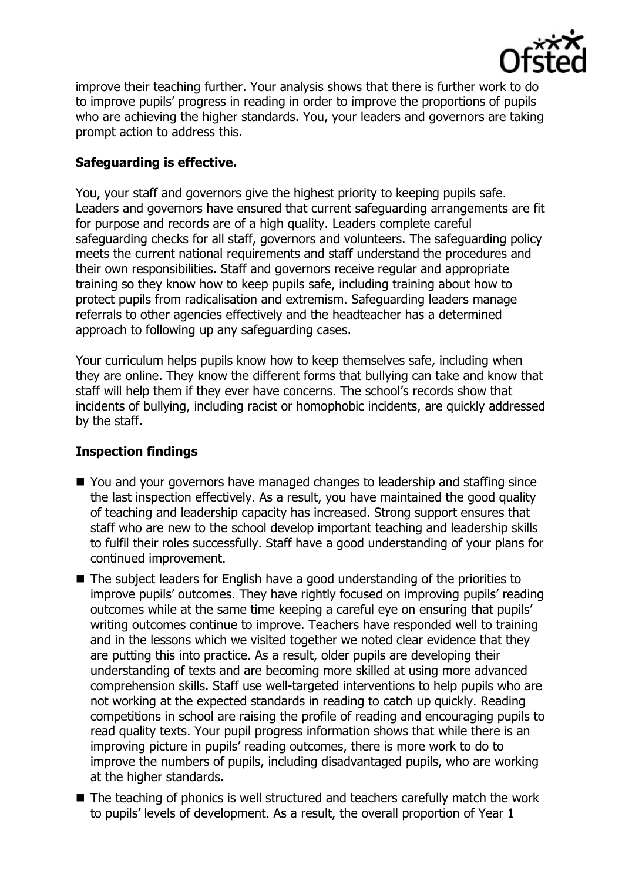

improve their teaching further. Your analysis shows that there is further work to do to improve pupils' progress in reading in order to improve the proportions of pupils who are achieving the higher standards. You, your leaders and governors are taking prompt action to address this.

# **Safeguarding is effective.**

You, your staff and governors give the highest priority to keeping pupils safe. Leaders and governors have ensured that current safeguarding arrangements are fit for purpose and records are of a high quality. Leaders complete careful safeguarding checks for all staff, governors and volunteers. The safeguarding policy meets the current national requirements and staff understand the procedures and their own responsibilities. Staff and governors receive regular and appropriate training so they know how to keep pupils safe, including training about how to protect pupils from radicalisation and extremism. Safeguarding leaders manage referrals to other agencies effectively and the headteacher has a determined approach to following up any safeguarding cases.

Your curriculum helps pupils know how to keep themselves safe, including when they are online. They know the different forms that bullying can take and know that staff will help them if they ever have concerns. The school's records show that incidents of bullying, including racist or homophobic incidents, are quickly addressed by the staff.

# **Inspection findings**

- You and your governors have managed changes to leadership and staffing since the last inspection effectively. As a result, you have maintained the good quality of teaching and leadership capacity has increased. Strong support ensures that staff who are new to the school develop important teaching and leadership skills to fulfil their roles successfully. Staff have a good understanding of your plans for continued improvement.
- The subject leaders for English have a good understanding of the priorities to improve pupils' outcomes. They have rightly focused on improving pupils' reading outcomes while at the same time keeping a careful eye on ensuring that pupils' writing outcomes continue to improve. Teachers have responded well to training and in the lessons which we visited together we noted clear evidence that they are putting this into practice. As a result, older pupils are developing their understanding of texts and are becoming more skilled at using more advanced comprehension skills. Staff use well-targeted interventions to help pupils who are not working at the expected standards in reading to catch up quickly. Reading competitions in school are raising the profile of reading and encouraging pupils to read quality texts. Your pupil progress information shows that while there is an improving picture in pupils' reading outcomes, there is more work to do to improve the numbers of pupils, including disadvantaged pupils, who are working at the higher standards.
- The teaching of phonics is well structured and teachers carefully match the work to pupils' levels of development. As a result, the overall proportion of Year 1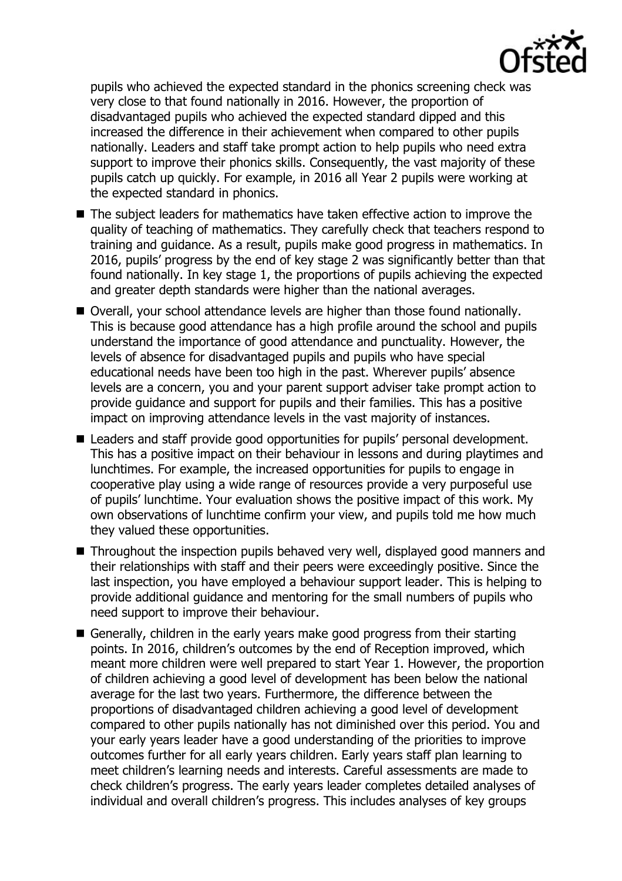

pupils who achieved the expected standard in the phonics screening check was very close to that found nationally in 2016. However, the proportion of disadvantaged pupils who achieved the expected standard dipped and this increased the difference in their achievement when compared to other pupils nationally. Leaders and staff take prompt action to help pupils who need extra support to improve their phonics skills. Consequently, the vast majority of these pupils catch up quickly. For example, in 2016 all Year 2 pupils were working at the expected standard in phonics.

- The subiect leaders for mathematics have taken effective action to improve the quality of teaching of mathematics. They carefully check that teachers respond to training and guidance. As a result, pupils make good progress in mathematics. In 2016, pupils' progress by the end of key stage 2 was significantly better than that found nationally. In key stage 1, the proportions of pupils achieving the expected and greater depth standards were higher than the national averages.
- Overall, your school attendance levels are higher than those found nationally. This is because good attendance has a high profile around the school and pupils understand the importance of good attendance and punctuality. However, the levels of absence for disadvantaged pupils and pupils who have special educational needs have been too high in the past. Wherever pupils' absence levels are a concern, you and your parent support adviser take prompt action to provide guidance and support for pupils and their families. This has a positive impact on improving attendance levels in the vast majority of instances.
- Leaders and staff provide good opportunities for pupils' personal development. This has a positive impact on their behaviour in lessons and during playtimes and lunchtimes. For example, the increased opportunities for pupils to engage in cooperative play using a wide range of resources provide a very purposeful use of pupils' lunchtime. Your evaluation shows the positive impact of this work. My own observations of lunchtime confirm your view, and pupils told me how much they valued these opportunities.
- Throughout the inspection pupils behaved very well, displayed good manners and their relationships with staff and their peers were exceedingly positive. Since the last inspection, you have employed a behaviour support leader. This is helping to provide additional guidance and mentoring for the small numbers of pupils who need support to improve their behaviour.
- Generally, children in the early years make good progress from their starting points. In 2016, children's outcomes by the end of Reception improved, which meant more children were well prepared to start Year 1. However, the proportion of children achieving a good level of development has been below the national average for the last two years. Furthermore, the difference between the proportions of disadvantaged children achieving a good level of development compared to other pupils nationally has not diminished over this period. You and your early years leader have a good understanding of the priorities to improve outcomes further for all early years children. Early years staff plan learning to meet children's learning needs and interests. Careful assessments are made to check children's progress. The early years leader completes detailed analyses of individual and overall children's progress. This includes analyses of key groups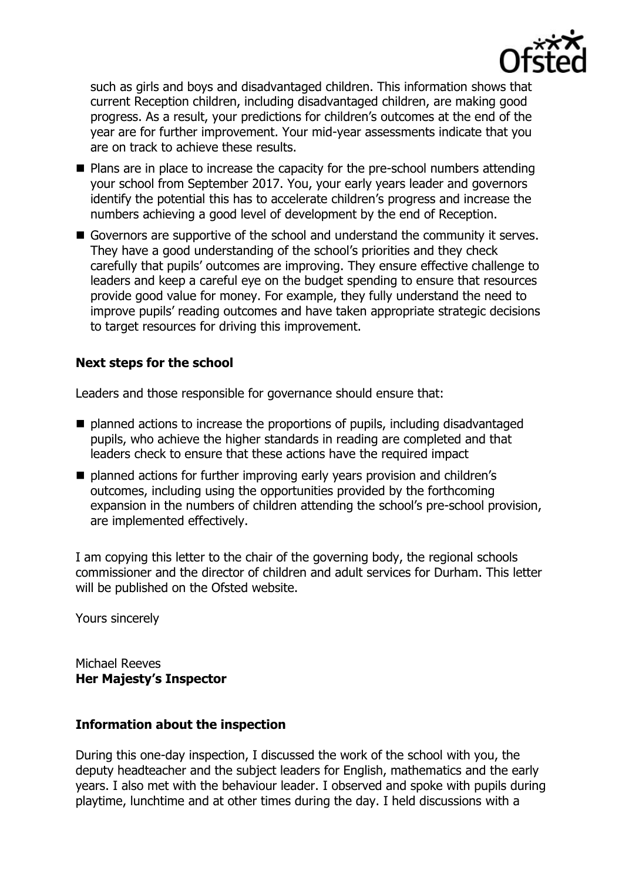

such as girls and boys and disadvantaged children. This information shows that current Reception children, including disadvantaged children, are making good progress. As a result, your predictions for children's outcomes at the end of the year are for further improvement. Your mid-year assessments indicate that you are on track to achieve these results.

- Plans are in place to increase the capacity for the pre-school numbers attending your school from September 2017. You, your early years leader and governors identify the potential this has to accelerate children's progress and increase the numbers achieving a good level of development by the end of Reception.
- Governors are supportive of the school and understand the community it serves. They have a good understanding of the school's priorities and they check carefully that pupils' outcomes are improving. They ensure effective challenge to leaders and keep a careful eye on the budget spending to ensure that resources provide good value for money. For example, they fully understand the need to improve pupils' reading outcomes and have taken appropriate strategic decisions to target resources for driving this improvement.

### **Next steps for the school**

Leaders and those responsible for governance should ensure that:

- planned actions to increase the proportions of pupils, including disadvantaged pupils, who achieve the higher standards in reading are completed and that leaders check to ensure that these actions have the required impact
- $\blacksquare$  planned actions for further improving early years provision and children's outcomes, including using the opportunities provided by the forthcoming expansion in the numbers of children attending the school's pre-school provision, are implemented effectively.

I am copying this letter to the chair of the governing body, the regional schools commissioner and the director of children and adult services for Durham. This letter will be published on the Ofsted website.

Yours sincerely

Michael Reeves **Her Majesty's Inspector**

### **Information about the inspection**

During this one-day inspection, I discussed the work of the school with you, the deputy headteacher and the subject leaders for English, mathematics and the early years. I also met with the behaviour leader. I observed and spoke with pupils during playtime, lunchtime and at other times during the day. I held discussions with a